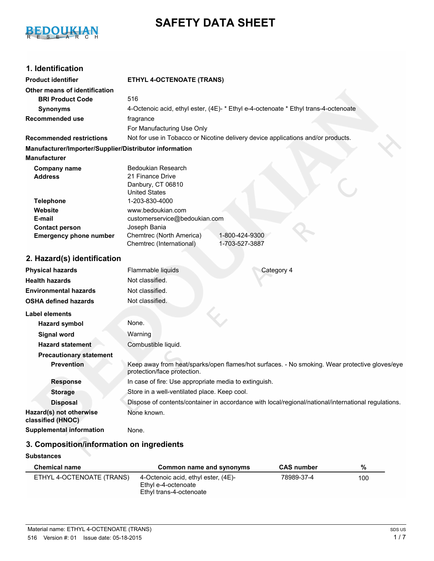

# **SAFETY DATA SHEET**

## **1. Identification**

| <b>Product identifier</b>                              | <b>ETHYL 4-OCTENOATE (TRANS)</b>                                                                                             |  |  |
|--------------------------------------------------------|------------------------------------------------------------------------------------------------------------------------------|--|--|
| Other means of identification                          |                                                                                                                              |  |  |
| <b>BRI Product Code</b>                                | 516                                                                                                                          |  |  |
| <b>Synonyms</b>                                        | 4-Octenoic acid, ethyl ester, (4E)- * Ethyl e-4-octenoate * Ethyl trans-4-octenoate                                          |  |  |
| Recommended use                                        | fragrance                                                                                                                    |  |  |
|                                                        | For Manufacturing Use Only                                                                                                   |  |  |
| <b>Recommended restrictions</b>                        | Not for use in Tobacco or Nicotine delivery device applications and/or products.                                             |  |  |
| Manufacturer/Importer/Supplier/Distributor information |                                                                                                                              |  |  |
| <b>Manufacturer</b>                                    |                                                                                                                              |  |  |
| <b>Company name</b>                                    | Bedoukian Research                                                                                                           |  |  |
| <b>Address</b>                                         | 21 Finance Drive                                                                                                             |  |  |
|                                                        | Danbury, CT 06810<br><b>United States</b>                                                                                    |  |  |
| <b>Telephone</b>                                       | 1-203-830-4000                                                                                                               |  |  |
| Website                                                | www.bedoukian.com                                                                                                            |  |  |
| E-mail                                                 | customerservice@bedoukian.com                                                                                                |  |  |
| <b>Contact person</b>                                  | Joseph Bania                                                                                                                 |  |  |
| <b>Emergency phone number</b>                          | Chemtrec (North America)<br>1-800-424-9300<br>1-703-527-3887<br>Chemtrec (International)                                     |  |  |
| 2. Hazard(s) identification                            |                                                                                                                              |  |  |
| <b>Physical hazards</b>                                | Flammable liquids<br>Category 4                                                                                              |  |  |
| <b>Health hazards</b>                                  | Not classified.                                                                                                              |  |  |
| <b>Environmental hazards</b>                           | Not classified.                                                                                                              |  |  |
| <b>OSHA defined hazards</b>                            | Not classified.                                                                                                              |  |  |
| <b>Label elements</b>                                  |                                                                                                                              |  |  |
| <b>Hazard symbol</b>                                   | None.                                                                                                                        |  |  |
| <b>Signal word</b>                                     | Warning                                                                                                                      |  |  |
| <b>Hazard statement</b>                                | Combustible liquid.                                                                                                          |  |  |
| <b>Precautionary statement</b>                         |                                                                                                                              |  |  |
| <b>Prevention</b>                                      | Keep away from heat/sparks/open flames/hot surfaces. - No smoking. Wear protective gloves/eye<br>protection/face protection. |  |  |
| <b>Response</b>                                        | In case of fire: Use appropriate media to extinguish.                                                                        |  |  |
| <b>Storage</b>                                         | Store in a well-ventilated place. Keep cool.                                                                                 |  |  |
| <b>Disposal</b>                                        | Dispose of contents/container in accordance with local/regional/national/international regulations.                          |  |  |
| Hazard(s) not otherwise<br>classified (HNOC)           | None known.                                                                                                                  |  |  |
| <b>Supplemental information</b>                        | None.                                                                                                                        |  |  |
|                                                        |                                                                                                                              |  |  |

## **3. Composition/information on ingredients**

### **Substances**

| <b>Chemical name</b>      | Common name and synonyms                                                              | <b>CAS number</b> | %   |
|---------------------------|---------------------------------------------------------------------------------------|-------------------|-----|
| ETHYL 4-OCTENOATE (TRANS) | 4-Octenoic acid, ethyl ester, (4E)-<br>Ethyl e-4-octenoate<br>Ethyl trans-4-octenoate |                   | 100 |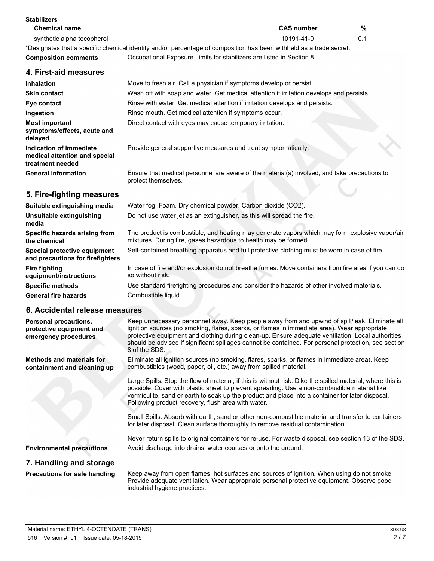| <b>Stabilizers</b><br><b>Chemical name</b>                                       | <b>CAS number</b>                                                                                                                                                                                                                                                                                                                                                                                                            | %   |
|----------------------------------------------------------------------------------|------------------------------------------------------------------------------------------------------------------------------------------------------------------------------------------------------------------------------------------------------------------------------------------------------------------------------------------------------------------------------------------------------------------------------|-----|
| synthetic alpha tocopherol                                                       | 10191-41-0                                                                                                                                                                                                                                                                                                                                                                                                                   | 0.1 |
|                                                                                  | *Designates that a specific chemical identity and/or percentage of composition has been withheld as a trade secret.                                                                                                                                                                                                                                                                                                          |     |
| <b>Composition comments</b>                                                      | Occupational Exposure Limits for stabilizers are listed in Section 8.                                                                                                                                                                                                                                                                                                                                                        |     |
| 4. First-aid measures                                                            |                                                                                                                                                                                                                                                                                                                                                                                                                              |     |
| <b>Inhalation</b>                                                                | Move to fresh air. Call a physician if symptoms develop or persist.                                                                                                                                                                                                                                                                                                                                                          |     |
| <b>Skin contact</b>                                                              | Wash off with soap and water. Get medical attention if irritation develops and persists.                                                                                                                                                                                                                                                                                                                                     |     |
| Eye contact                                                                      | Rinse with water. Get medical attention if irritation develops and persists.                                                                                                                                                                                                                                                                                                                                                 |     |
| Ingestion                                                                        | Rinse mouth. Get medical attention if symptoms occur.                                                                                                                                                                                                                                                                                                                                                                        |     |
| <b>Most important</b><br>symptoms/effects, acute and<br>delayed                  | Direct contact with eyes may cause temporary irritation.                                                                                                                                                                                                                                                                                                                                                                     |     |
| Indication of immediate<br>medical attention and special<br>treatment needed     | Provide general supportive measures and treat symptomatically.                                                                                                                                                                                                                                                                                                                                                               |     |
| <b>General information</b>                                                       | Ensure that medical personnel are aware of the material(s) involved, and take precautions to<br>protect themselves.                                                                                                                                                                                                                                                                                                          |     |
| 5. Fire-fighting measures                                                        |                                                                                                                                                                                                                                                                                                                                                                                                                              |     |
| Suitable extinguishing media                                                     | Water fog. Foam. Dry chemical powder. Carbon dioxide (CO2).                                                                                                                                                                                                                                                                                                                                                                  |     |
| Unsuitable extinguishing<br>media                                                | Do not use water jet as an extinguisher, as this will spread the fire.                                                                                                                                                                                                                                                                                                                                                       |     |
| Specific hazards arising from<br>the chemical                                    | The product is combustible, and heating may generate vapors which may form explosive vapor/air<br>mixtures. During fire, gases hazardous to health may be formed.                                                                                                                                                                                                                                                            |     |
| Special protective equipment<br>and precautions for firefighters                 | Self-contained breathing apparatus and full protective clothing must be worn in case of fire.                                                                                                                                                                                                                                                                                                                                |     |
| <b>Fire fighting</b><br>equipment/instructions                                   | In case of fire and/or explosion do not breathe fumes. Move containers from fire area if you can do<br>so without risk.                                                                                                                                                                                                                                                                                                      |     |
| <b>Specific methods</b>                                                          | Use standard firefighting procedures and consider the hazards of other involved materials.                                                                                                                                                                                                                                                                                                                                   |     |
| <b>General fire hazards</b>                                                      | Combustible liquid.                                                                                                                                                                                                                                                                                                                                                                                                          |     |
| 6. Accidental release measures                                                   |                                                                                                                                                                                                                                                                                                                                                                                                                              |     |
| <b>Personal precautions,</b><br>protective equipment and<br>emergency procedures | Keep unnecessary personnel away. Keep people away from and upwind of spill/leak. Eliminate all<br>ignition sources (no smoking, flares, sparks, or flames in immediate area). Wear appropriate<br>protective equipment and clothing during clean-up. Ensure adequate ventilation. Local authorities<br>should be advised if significant spillages cannot be contained. For personal protection, see section<br>8 of the SDS. |     |
| <b>Methods and materials for</b><br>containment and cleaning up                  | Eliminate all ignition sources (no smoking, flares, sparks, or flames in immediate area). Keep<br>combustibles (wood, paper, oil, etc.) away from spilled material.                                                                                                                                                                                                                                                          |     |
|                                                                                  | Large Spills: Stop the flow of material, if this is without risk. Dike the spilled material, where this is<br>possible. Cover with plastic sheet to prevent spreading. Use a non-combustible material like<br>vermiculite, sand or earth to soak up the product and place into a container for later disposal.<br>Following product recovery, flush area with water.                                                         |     |
|                                                                                  | Small Spills: Absorb with earth, sand or other non-combustible material and transfer to containers<br>for later disposal. Clean surface thoroughly to remove residual contamination.                                                                                                                                                                                                                                         |     |
|                                                                                  | Never return spills to original containers for re-use. For waste disposal, see section 13 of the SDS.                                                                                                                                                                                                                                                                                                                        |     |
| <b>Environmental precautions</b>                                                 | Avoid discharge into drains, water courses or onto the ground.                                                                                                                                                                                                                                                                                                                                                               |     |
| 7. Handling and storage                                                          |                                                                                                                                                                                                                                                                                                                                                                                                                              |     |
| <b>Precautions for safe handling</b>                                             | Keep away from open flames, hot surfaces and sources of ignition. When using do not smoke.<br>Provide adequate ventilation. Wear appropriate personal protective equipment. Observe good<br>industrial hygiene practices.                                                                                                                                                                                                    |     |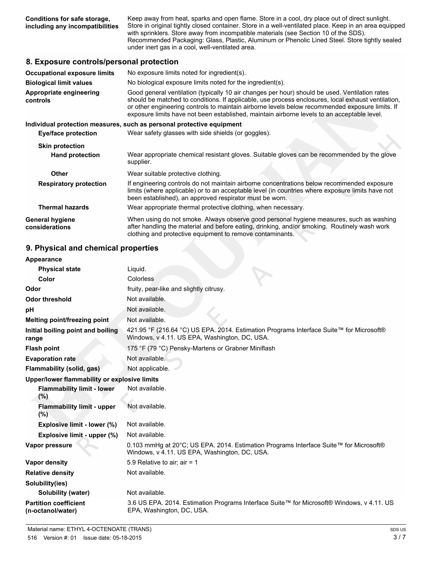**Conditions for safe storage, including any incompatibilities** Keep away from heat, sparks and open flame. Store in a cool, dry place out of direct sunlight. Store in original tightly closed container. Store in a well-ventilated place. Keep in an area equipped with sprinklers. Store away from incompatible materials (see Section 10 of the SDS). Recommended Packaging: Glass, Plastic, Aluminum or Phenolic Lined Steel. Store tightly sealed under inert gas in a cool, well-ventilated area.

### **8. Exposure controls/personal protection**

| <b>Occupational exposure limits</b>      | No exposure limits noted for ingredient(s).                                                                                                                                                                                                                                                                                                                                                            |  |  |
|------------------------------------------|--------------------------------------------------------------------------------------------------------------------------------------------------------------------------------------------------------------------------------------------------------------------------------------------------------------------------------------------------------------------------------------------------------|--|--|
| <b>Biological limit values</b>           | No biological exposure limits noted for the ingredient(s).                                                                                                                                                                                                                                                                                                                                             |  |  |
| Appropriate engineering<br>controls      | Good general ventilation (typically 10 air changes per hour) should be used. Ventilation rates<br>should be matched to conditions. If applicable, use process enclosures, local exhaust ventilation,<br>or other engineering controls to maintain airborne levels below recommended exposure limits. If<br>exposure limits have not been established, maintain airborne levels to an acceptable level. |  |  |
|                                          | Individual protection measures, such as personal protective equipment                                                                                                                                                                                                                                                                                                                                  |  |  |
| Eye/face protection                      | Wear safety glasses with side shields (or goggles).                                                                                                                                                                                                                                                                                                                                                    |  |  |
| <b>Skin protection</b>                   |                                                                                                                                                                                                                                                                                                                                                                                                        |  |  |
| <b>Hand protection</b>                   | Wear appropriate chemical resistant gloves. Suitable gloves can be recommended by the glove<br>supplier.                                                                                                                                                                                                                                                                                               |  |  |
| <b>Other</b>                             | Wear suitable protective clothing.                                                                                                                                                                                                                                                                                                                                                                     |  |  |
| <b>Respiratory protection</b>            | If engineering controls do not maintain airborne concentrations below recommended exposure<br>limits (where applicable) or to an acceptable level (in countries where exposure limits have not<br>been established), an approved respirator must be worn.                                                                                                                                              |  |  |
| <b>Thermal hazards</b>                   | Wear appropriate thermal protective clothing, when necessary.                                                                                                                                                                                                                                                                                                                                          |  |  |
| <b>General hygiene</b><br>considerations | When using do not smoke. Always observe good personal hygiene measures, such as washing<br>after handling the material and before eating, drinking, and/or smoking. Routinely wash work<br>clothing and protective equipment to remove contaminants.                                                                                                                                                   |  |  |

### **9. Physical and chemical properties**

| Appearance                                        |                                                                                                                                          |
|---------------------------------------------------|------------------------------------------------------------------------------------------------------------------------------------------|
| <b>Physical state</b>                             | Liquid.                                                                                                                                  |
| Color                                             | Colorless                                                                                                                                |
| Odor                                              | fruity, pear-like and slightly citrusy.                                                                                                  |
| <b>Odor threshold</b>                             | Not available.                                                                                                                           |
| pH                                                | Not available.                                                                                                                           |
| Melting point/freezing point                      | Not available.                                                                                                                           |
| Initial boiling point and boiling<br>range        | 421.95 °F (216.64 °C) US EPA. 2014. Estimation Programs Interface Suite™ for Microsoft®<br>Windows, v 4.11. US EPA, Washington, DC, USA. |
| <b>Flash point</b>                                | 175 °F (79 °C) Pensky-Martens or Grabner Miniflash                                                                                       |
| <b>Evaporation rate</b>                           | Not available.                                                                                                                           |
| Flammability (solid, gas)                         | Not applicable.                                                                                                                          |
| Upper/lower flammability or explosive limits      |                                                                                                                                          |
| <b>Flammability limit - lower</b><br>(%)          | Not available.                                                                                                                           |
| <b>Flammability limit - upper</b><br>$(\%)$       | Not available.                                                                                                                           |
| Explosive limit - lower (%)                       | Not available.                                                                                                                           |
| Explosive limit - upper (%)                       | Not available.                                                                                                                           |
| Vapor pressure                                    | 0.103 mmHg at 20°C; US EPA. 2014. Estimation Programs Interface Suite™ for Microsoft®<br>Windows, v 4.11. US EPA, Washington, DC, USA.   |
| Vapor density                                     | 5.9 Relative to air; air = 1                                                                                                             |
| <b>Relative density</b>                           | Not available.                                                                                                                           |
| Solubility(ies)                                   |                                                                                                                                          |
| Solubility (water)                                | Not available.                                                                                                                           |
| <b>Partition coefficient</b><br>(n-octanol/water) | 3.6 US EPA. 2014. Estimation Programs Interface Suite™ for Microsoft® Windows, v 4.11. US<br>EPA, Washington, DC, USA.                   |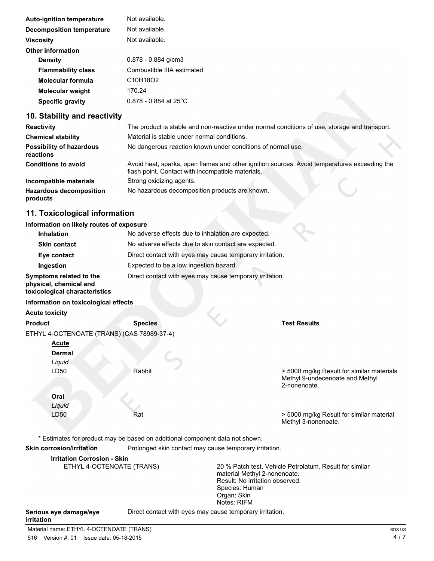| <b>Auto-ignition temperature</b> | Not available.             |
|----------------------------------|----------------------------|
| Decomposition temperature        | Not available.             |
| <b>Viscosity</b>                 | Not available.             |
| <b>Other information</b>         |                            |
| <b>Density</b>                   | $0.878 - 0.884$ g/cm3      |
| <b>Flammability class</b>        | Combustible IIIA estimated |
| <b>Molecular formula</b>         | C10H18O2                   |
| <b>Molecular weight</b>          | 170.24                     |
| <b>Specific gravity</b>          | $0.878 - 0.884$ at 25°C    |

## **10. Stability and reactivity**

| <b>Reactivity</b>                            | The product is stable and non-reactive under normal conditions of use, storage and transport.                                                     |
|----------------------------------------------|---------------------------------------------------------------------------------------------------------------------------------------------------|
| <b>Chemical stability</b>                    | Material is stable under normal conditions.                                                                                                       |
| <b>Possibility of hazardous</b><br>reactions | No dangerous reaction known under conditions of normal use.                                                                                       |
| <b>Conditions to avoid</b>                   | Avoid heat, sparks, open flames and other ignition sources. Avoid temperatures exceeding the<br>flash point. Contact with incompatible materials. |
| Incompatible materials                       | Strong oxidizing agents.                                                                                                                          |
| <b>Hazardous decomposition</b><br>products   | No hazardous decomposition products are known.                                                                                                    |

## **11. Toxicological information**

### **Information on likely routes of exposure**

| <b>Inhalation</b>                                                                  | No adverse effects due to inhalation are expected.       |
|------------------------------------------------------------------------------------|----------------------------------------------------------|
| <b>Skin contact</b>                                                                | No adverse effects due to skin contact are expected.     |
| Eye contact                                                                        | Direct contact with eyes may cause temporary irritation. |
| Ingestion                                                                          | Expected to be a low ingestion hazard.                   |
| Symptoms related to the<br>physical, chemical and<br>toxicological characteristics | Direct contact with eyes may cause temporary irritation. |
| Information on toxicological effects                                               |                                                          |

## **Acute toxicity**

| <b>Product</b>                             | <b>Species</b>                                                               | <b>Test Results</b>                                                                          |
|--------------------------------------------|------------------------------------------------------------------------------|----------------------------------------------------------------------------------------------|
| ETHYL 4-OCTENOATE (TRANS) (CAS 78989-37-4) |                                                                              |                                                                                              |
| Acute                                      |                                                                              |                                                                                              |
| <b>Dermal</b>                              |                                                                              |                                                                                              |
| Liquid                                     |                                                                              |                                                                                              |
| LD50                                       | Rabbit                                                                       | > 5000 mg/kg Result for similar materials<br>Methyl 9-undecenoate and Methyl<br>2-nonenoate. |
| Oral<br>Liquid                             |                                                                              |                                                                                              |
| LD50                                       | Rat                                                                          | > 5000 mg/kg Result for similar material<br>Methyl 3-nonenoate.                              |
|                                            | * Estimates for product may be based on additional component data not shown. |                                                                                              |
| <b>Skin corrosion/irritation</b>           | Prolonged skin contact may cause temporary irritation.                       |                                                                                              |
| <b>Irritation Corrosion - Skin</b>         |                                                                              |                                                                                              |

| ETHYL 4-OCTENOATE (TRANS) | 20 % Patch test, Vehicle Petrolatum. Result for similar<br>material Methyl 2-nonenoate.<br>Result: No irritation observed.<br>Species: Human<br>Organ: Skin<br>Notes: RIFM |
|---------------------------|----------------------------------------------------------------------------------------------------------------------------------------------------------------------------|
| Serious eye damage/eye    | Direct contact with eyes may cause temporary irritation.                                                                                                                   |

### **irritation**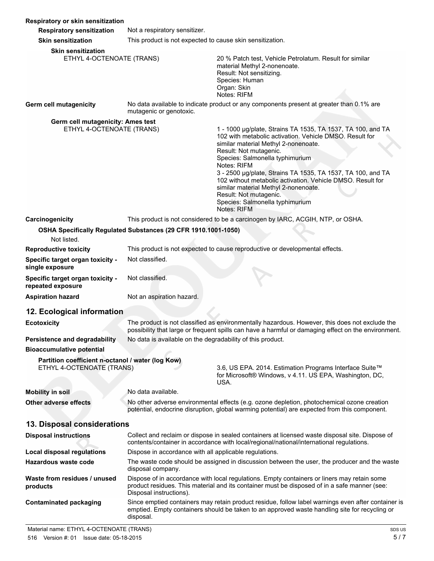| Respiratory or skin sensitization                                              |                                                                                                                                                                                            |                                                                                                                                                                                                                                                                                                                                                                                                                                                                                             |  |
|--------------------------------------------------------------------------------|--------------------------------------------------------------------------------------------------------------------------------------------------------------------------------------------|---------------------------------------------------------------------------------------------------------------------------------------------------------------------------------------------------------------------------------------------------------------------------------------------------------------------------------------------------------------------------------------------------------------------------------------------------------------------------------------------|--|
| <b>Respiratory sensitization</b>                                               | Not a respiratory sensitizer.                                                                                                                                                              |                                                                                                                                                                                                                                                                                                                                                                                                                                                                                             |  |
| <b>Skin sensitization</b>                                                      | This product is not expected to cause skin sensitization.                                                                                                                                  |                                                                                                                                                                                                                                                                                                                                                                                                                                                                                             |  |
| <b>Skin sensitization</b><br>ETHYL 4-OCTENOATE (TRANS)                         |                                                                                                                                                                                            | 20 % Patch test, Vehicle Petrolatum. Result for similar<br>material Methyl 2-nonenoate.<br>Result: Not sensitizing.<br>Species: Human<br>Organ: Skin<br>Notes: RIFM                                                                                                                                                                                                                                                                                                                         |  |
| <b>Germ cell mutagenicity</b>                                                  | mutagenic or genotoxic.                                                                                                                                                                    | No data available to indicate product or any components present at greater than 0.1% are                                                                                                                                                                                                                                                                                                                                                                                                    |  |
| Germ cell mutagenicity: Ames test<br>ETHYL 4-OCTENOATE (TRANS)                 |                                                                                                                                                                                            | 1 - 1000 µg/plate, Strains TA 1535, TA 1537, TA 100, and TA<br>102 with metabolic activation. Vehicle DMSO, Result for<br>similar material Methyl 2-nonenoate.<br>Result: Not mutagenic.<br>Species: Salmonella typhimurium<br>Notes: RIFM<br>3 - 2500 µg/plate, Strains TA 1535, TA 1537, TA 100, and TA<br>102 without metabolic activation. Vehicle DMSO. Result for<br>similar material Methyl 2-nonenoate.<br>Result: Not mutagenic.<br>Species: Salmonella typhimurium<br>Notes: RIFM |  |
| Carcinogenicity                                                                |                                                                                                                                                                                            | This product is not considered to be a carcinogen by IARC, ACGIH, NTP, or OSHA.                                                                                                                                                                                                                                                                                                                                                                                                             |  |
| Not listed.                                                                    | OSHA Specifically Regulated Substances (29 CFR 1910.1001-1050)                                                                                                                             |                                                                                                                                                                                                                                                                                                                                                                                                                                                                                             |  |
| <b>Reproductive toxicity</b>                                                   |                                                                                                                                                                                            | This product is not expected to cause reproductive or developmental effects.                                                                                                                                                                                                                                                                                                                                                                                                                |  |
| Specific target organ toxicity -<br>single exposure                            | Not classified.                                                                                                                                                                            |                                                                                                                                                                                                                                                                                                                                                                                                                                                                                             |  |
| Specific target organ toxicity -<br>repeated exposure                          | Not classified.                                                                                                                                                                            |                                                                                                                                                                                                                                                                                                                                                                                                                                                                                             |  |
| <b>Aspiration hazard</b>                                                       | Not an aspiration hazard.                                                                                                                                                                  |                                                                                                                                                                                                                                                                                                                                                                                                                                                                                             |  |
| 12. Ecological information                                                     |                                                                                                                                                                                            |                                                                                                                                                                                                                                                                                                                                                                                                                                                                                             |  |
| <b>Ecotoxicity</b>                                                             |                                                                                                                                                                                            | The product is not classified as environmentally hazardous. However, this does not exclude the<br>possibility that large or frequent spills can have a harmful or damaging effect on the environment.                                                                                                                                                                                                                                                                                       |  |
| Persistence and degradability                                                  | No data is available on the degradability of this product.                                                                                                                                 |                                                                                                                                                                                                                                                                                                                                                                                                                                                                                             |  |
| <b>Bioaccumulative potential</b>                                               |                                                                                                                                                                                            |                                                                                                                                                                                                                                                                                                                                                                                                                                                                                             |  |
| Partition coefficient n-octanol / water (log Kow)<br>ETHYL 4-OCTENOATE (TRANS) |                                                                                                                                                                                            | 3.6, US EPA. 2014. Estimation Programs Interface Suite™<br>for Microsoft® Windows, v 4.11. US EPA, Washington, DC,<br>USA.                                                                                                                                                                                                                                                                                                                                                                  |  |
| <b>Mobility in soil</b>                                                        | No data available.                                                                                                                                                                         |                                                                                                                                                                                                                                                                                                                                                                                                                                                                                             |  |
| <b>Other adverse effects</b>                                                   | No other adverse environmental effects (e.g. ozone depletion, photochemical ozone creation<br>potential, endocrine disruption, global warming potential) are expected from this component. |                                                                                                                                                                                                                                                                                                                                                                                                                                                                                             |  |
| 13. Disposal considerations                                                    |                                                                                                                                                                                            |                                                                                                                                                                                                                                                                                                                                                                                                                                                                                             |  |
| <b>Disposal instructions</b>                                                   |                                                                                                                                                                                            | Collect and reclaim or dispose in sealed containers at licensed waste disposal site. Dispose of<br>contents/container in accordance with local/regional/national/international regulations.                                                                                                                                                                                                                                                                                                 |  |
| <b>Local disposal regulations</b>                                              | Dispose in accordance with all applicable regulations.                                                                                                                                     |                                                                                                                                                                                                                                                                                                                                                                                                                                                                                             |  |
| <b>Hazardous waste code</b>                                                    | disposal company.                                                                                                                                                                          | The waste code should be assigned in discussion between the user, the producer and the waste                                                                                                                                                                                                                                                                                                                                                                                                |  |
| Waste from residues / unused<br>products                                       | Disposal instructions).                                                                                                                                                                    | Dispose of in accordance with local regulations. Empty containers or liners may retain some<br>product residues. This material and its container must be disposed of in a safe manner (see:                                                                                                                                                                                                                                                                                                 |  |
| <b>Contaminated packaging</b>                                                  | disposal.                                                                                                                                                                                  | Since emptied containers may retain product residue, follow label warnings even after container is<br>emptied. Empty containers should be taken to an approved waste handling site for recycling or                                                                                                                                                                                                                                                                                         |  |
| Material name: ETHYL 4-OCTENOATE (TRANS)                                       |                                                                                                                                                                                            | SDS US                                                                                                                                                                                                                                                                                                                                                                                                                                                                                      |  |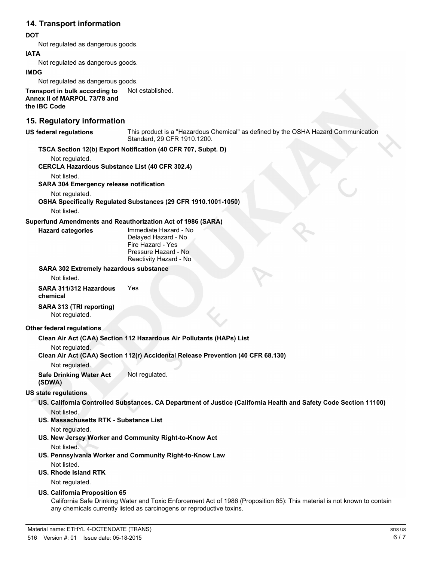## **14. Transport information**

### **DOT**

Not regulated as dangerous goods.

### **IATA**

Not regulated as dangerous goods.

### **IMDG**

Not regulated as dangerous goods.

**Transport in bulk according to** Not established. **Annex II of MARPOL 73/78 and the IBC Code**

### **15. Regulatory information**

**US federal regulations** This product is a "Hazardous Chemical" as defined by the OSHA Hazard Communication Standard, 29 CFR 1910.1200.

### **TSCA Section 12(b) Export Notification (40 CFR 707, Subpt. D)**

Not regulated.

**CERCLA Hazardous Substance List (40 CFR 302.4)**

Not listed.

**SARA 304 Emergency release notification**

Not regulated.

## **OSHA Specifically Regulated Substances (29 CFR 1910.1001-1050)**

Not listed.

### **Superfund Amendments and Reauthorization Act of 1986 (SARA)**

**Hazard categories** Immediate Hazard - No Delayed Hazard - No Fire Hazard - Yes Pressure Hazard - No Reactivity Hazard - No

### **SARA 302 Extremely hazardous substance**

Not listed.

### **SARA 311/312 Hazardous chemical** Yes

**SARA 313 (TRI reporting)**

Not regulated.

### **Other federal regulations**

**Clean Air Act (CAA) Section 112 Hazardous Air Pollutants (HAPs) List**

Not regulated.

### **Clean Air Act (CAA) Section 112(r) Accidental Release Prevention (40 CFR 68.130)**

Not regulated.

**Safe Drinking Water Act** Not regulated.

## **(SDWA)**

### **US state regulations**

- **US. California Controlled Substances. CA Department of Justice (California Health and Safety Code Section 11100)** Not listed.
- **US. Massachusetts RTK Substance List**

Not regulated.

**US. New Jersey Worker and Community Right-to-Know Act**

Not listed.

**US. Pennsylvania Worker and Community Right-to-Know Law**

Not listed.

### **US. Rhode Island RTK**

Not regulated.

### **US. California Proposition 65**

California Safe Drinking Water and Toxic Enforcement Act of 1986 (Proposition 65): This material is not known to contain any chemicals currently listed as carcinogens or reproductive toxins.